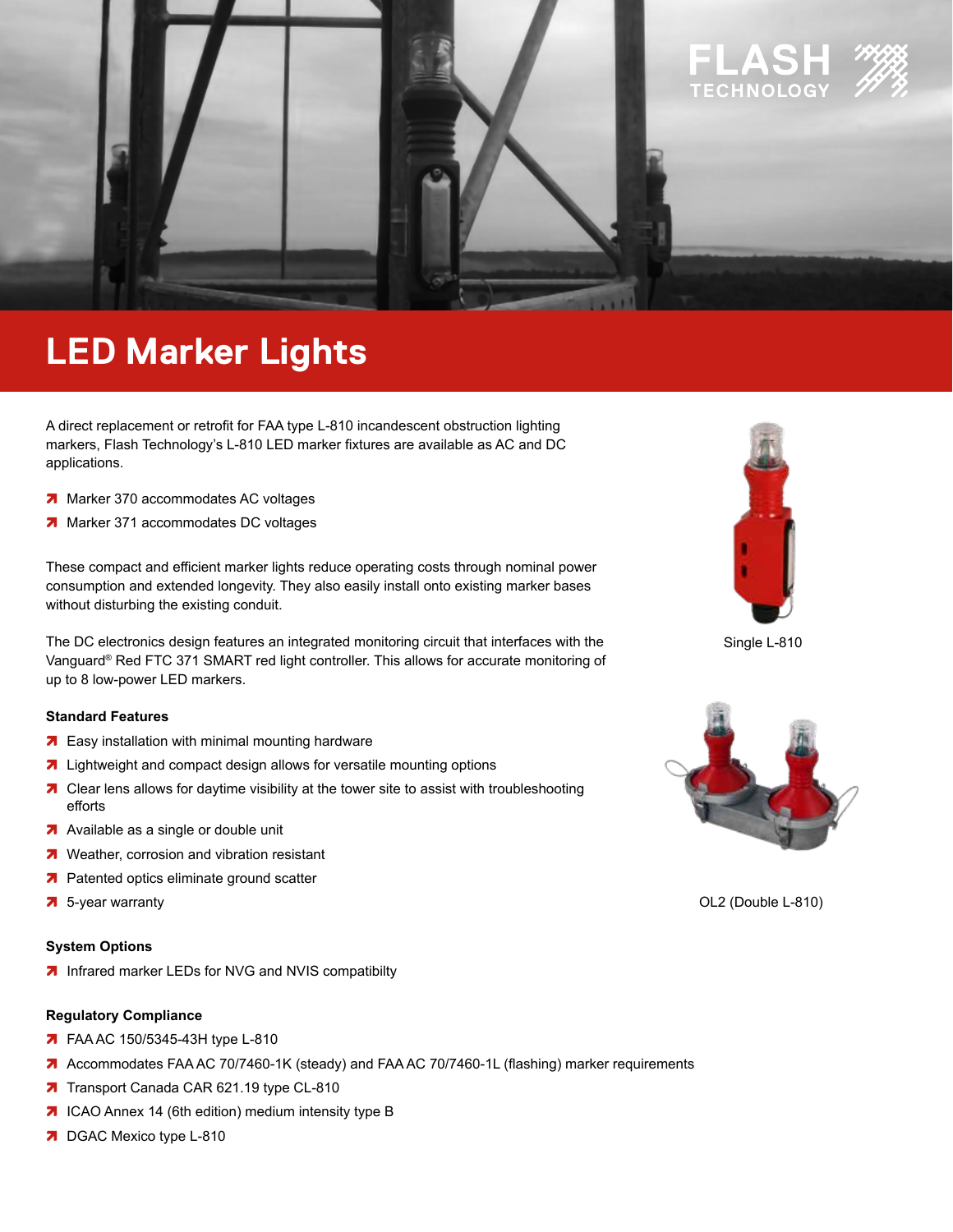

# **LED Marker Lights**

A direct replacement or retrofit for FAA type L-810 incandescent obstruction lighting markers, Flash Technology's L-810 LED marker fixtures are available as AC and DC applications.

- 7 Marker 370 accommodates AC voltages
- 7 Marker 371 accommodates DC voltages

These compact and efficient marker lights reduce operating costs through nominal power consumption and extended longevity. They also easily install onto existing marker bases without disturbing the existing conduit.

The DC electronics design features an integrated monitoring circuit that interfaces with the Vanguard® Red FTC 371 SMART red light controller. This allows for accurate monitoring of up to 8 low-power LED markers.

#### **Standard Features**

- 7 Easy installation with minimal mounting hardware
- 7 Lightweight and compact design allows for versatile mounting options
- 7 Clear lens allows for daytime visibility at the tower site to assist with troubleshooting efforts
- A Available as a single or double unit
- 7 Weather, corrosion and vibration resistant
- 7 Patented optics eliminate ground scatter
- 7 5-year warranty

#### **System Options**

7 Infrared marker LEDs for NVG and NVIS compatibilty

#### **Regulatory Compliance**

- 7 FAA AC 150/5345-43H type L-810
- 7 Accommodates FAA AC 70/7460-1K (steady) and FAA AC 70/7460-1L (flashing) marker requirements
- 7 Transport Canada CAR 621.19 type CL-810
- 7 ICAO Annex 14 (6th edition) medium intensity type B
- 7 DGAC Mexico type L-810



Single L-810



OL2 (Double L-810)